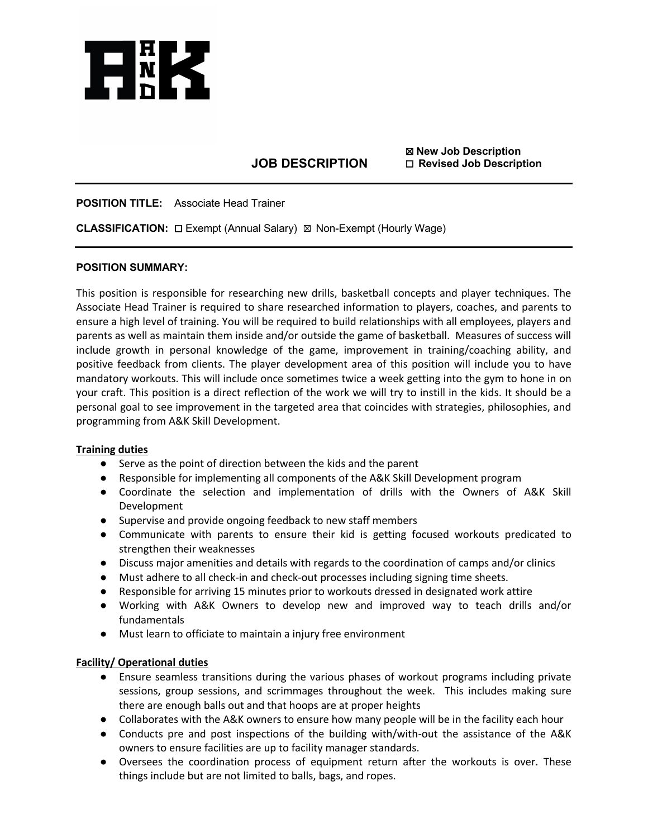

# **JOB DESCRIPTION**

☒ **New Job Description** ☐ **Revised Job Description**

# **POSITION TITLE:** Associate Head Trainer

**CLASSIFICATION:** ☐ Exempt (Annual Salary) ☒ Non-Exempt (Hourly Wage)

## **POSITION SUMMARY:**

This position is responsible for researching new drills, basketball concepts and player techniques. The Associate Head Trainer is required to share researched information to players, coaches, and parents to ensure a high level of training. You will be required to build relationships with all employees, players and parents as well as maintain them inside and/or outside the game of basketball. Measures of success will include growth in personal knowledge of the game, improvement in training/coaching ability, and positive feedback from clients. The player development area of this position will include you to have mandatory workouts. This will include once sometimes twice a week getting into the gym to hone in on your craft. This position is a direct reflection of the work we will try to instill in the kids. It should be a personal goal to see improvement in the targeted area that coincides with strategies, philosophies, and programming from A&K Skill Development.

### **Training duties**

- Serve as the point of direction between the kids and the parent
- Responsible for implementing all components of the A&K Skill Development program
- Coordinate the selection and implementation of drills with the Owners of A&K Skill Development
- Supervise and provide ongoing feedback to new staff members
- Communicate with parents to ensure their kid is getting focused workouts predicated to strengthen their weaknesses
- Discuss major amenities and details with regards to the coordination of camps and/or clinics
- Must adhere to all check-in and check-out processes including signing time sheets.
- Responsible for arriving 15 minutes prior to workouts dressed in designated work attire
- Working with A&K Owners to develop new and improved way to teach drills and/or fundamentals
- Must learn to officiate to maintain a injury free environment

# **Facility/ Operational duties**

- Ensure seamless transitions during the various phases of workout programs including private sessions, group sessions, and scrimmages throughout the week. This includes making sure there are enough balls out and that hoops are at proper heights
- Collaborates with the A&K owners to ensure how many people will be in the facility each hour
- Conducts pre and post inspections of the building with/with-out the assistance of the A&K owners to ensure facilities are up to facility manager standards.
- Oversees the coordination process of equipment return after the workouts is over. These things include but are not limited to balls, bags, and ropes.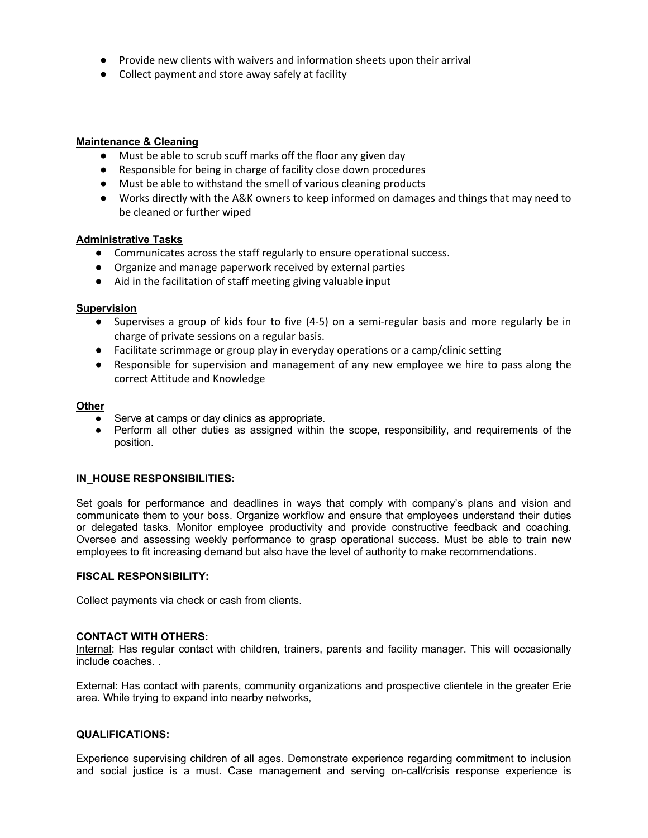- Provide new clients with waivers and information sheets upon their arrival
- Collect payment and store away safely at facility

## **Maintenance & Cleaning**

- Must be able to scrub scuff marks off the floor any given day
- Responsible for being in charge of facility close down procedures
- Must be able to withstand the smell of various cleaning products
- Works directly with the A&K owners to keep informed on damages and things that may need to be cleaned or further wiped

## **Administrative Tasks**

- Communicates across the staff regularly to ensure operational success.
- Organize and manage paperwork received by external parties
- Aid in the facilitation of staff meeting giving valuable input

## **Supervision**

- Supervises a group of kids four to five (4-5) on a semi-regular basis and more regularly be in charge of private sessions on a regular basis.
- Facilitate scrimmage or group play in everyday operations or a camp/clinic setting
- Responsible for supervision and management of any new employee we hire to pass along the correct Attitude and Knowledge

### **Other**

- Serve at camps or day clinics as appropriate.
- Perform all other duties as assigned within the scope, responsibility, and requirements of the position.

### **IN\_HOUSE RESPONSIBILITIES:**

Set goals for performance and deadlines in ways that comply with company's plans and vision and communicate them to your boss. Organize workflow and ensure that employees understand their duties or delegated tasks. Monitor employee productivity and provide constructive feedback and coaching. Oversee and assessing weekly performance to grasp operational success. Must be able to train new employees to fit increasing demand but also have the level of authority to make recommendations.

## **FISCAL RESPONSIBILITY:**

Collect payments via check or cash from clients.

### **CONTACT WITH OTHERS:**

Internal: Has regular contact with children, trainers, parents and facility manager. This will occasionally include coaches. .

External: Has contact with parents, community organizations and prospective clientele in the greater Erie area. While trying to expand into nearby networks,

### **QUALIFICATIONS:**

Experience supervising children of all ages. Demonstrate experience regarding commitment to inclusion and social justice is a must. Case management and serving on-call/crisis response experience is